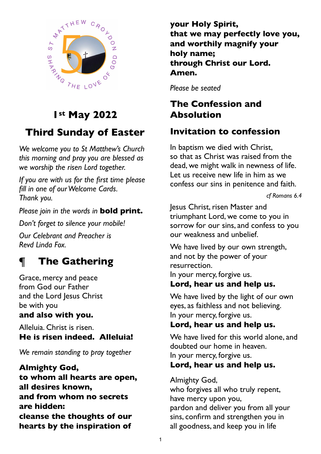

# **1st May 2022**

# **Third Sunday of Easter**

*We welcome you to St Matthew's Church this morning and pray you are blessed as we worship the risen Lord together.* 

*If you are with us for the first time please fill in one of our Welcome Cards. Thank you.* 

*Please join in the words in* **bold print.** 

*Don't forget to silence your mobile!*

*Our Celebrant and Preacher is Revd Linda Fox.*

# **¶ The Gathering**

Grace, mercy and peace from God our Father and the Lord Jesus Christ be with you **and also with you.**

Alleluia. Christ is risen. **He is risen indeed. Alleluia!**

*We remain standing to pray together*

**Almighty God, to whom all hearts are open, all desires known, and from whom no secrets are hidden: cleanse the thoughts of our hearts by the inspiration of** 

**your Holy Spirit, that we may perfectly love you, and worthily magnify your holy name; through Christ our Lord. Amen.**

*Please be seated*

# **The Confession and Absolution**

# **Invitation to confession**

In baptism we died with Christ, so that as Christ was raised from the dead, we might walk in newness of life. Let us receive new life in him as we confess our sins in penitence and faith.

*cf Romans 6.4*

Jesus Christ, risen Master and triumphant Lord, we come to you in sorrow for our sins, and confess to you our weakness and unbelief.

We have lived by our own strength, and not by the power of your resurrection. In your mercy, forgive us.

### **Lord, hear us and help us.**

We have lived by the light of our own eyes, as faithless and not believing. In your mercy, forgive us.

#### **Lord, hear us and help us.**

We have lived for this world alone, and doubted our home in heaven. In your mercy, forgive us.

#### **Lord, hear us and help us.**

Almighty God, who forgives all who truly repent, have mercy upon you, pardon and deliver you from all your sins, confirm and strengthen you in all goodness, and keep you in life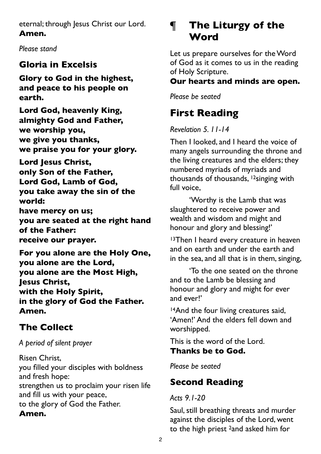eternal; through Jesus Christ our Lord. **Amen.** 

*Please stand* 

# **Gloria in Excelsis**

**Glory to God in the highest, and peace to his people on earth.**

**Lord God, heavenly King, almighty God and Father, we worship you, we give you thanks, we praise you for your glory.**

**Lord Jesus Christ, only Son of the Father, Lord God, Lamb of God, you take away the sin of the world: have mercy on us; you are seated at the right hand of the Father: receive our prayer.**

**For you alone are the Holy One, you alone are the Lord, you alone are the Most High, Jesus Christ, with the Holy Spirit, in the glory of God the Father. Amen.**

# **The Collect**

### *A period of silent prayer*

Risen Christ, you filled your disciples with boldness and fresh hope: strengthen us to proclaim your risen life and fill us with your peace, to the glory of God the Father. **Amen.**

# **¶ The Liturgy of the Word**

Let us prepare ourselves for the Word of God as it comes to us in the reading of Holy Scripture.

## **Our hearts and minds are open.**

*Please be seated*

# **First Reading**

### *Revelation 5. 11-14*

Then I looked, and I heard the voice of many angels surrounding the throne and the living creatures and the elders; they numbered myriads of myriads and thousands of thousands, 12singing with full voice,

'Worthy is the Lamb that was slaughtered to receive power and wealth and wisdom and might and honour and glory and blessing!'

13Then I heard every creature in heaven and on earth and under the earth and in the sea, and all that is in them, singing,

'To the one seated on the throne and to the Lamb be blessing and honour and glory and might for ever and ever!'

14And the four living creatures said, 'Amen!' And the elders fell down and worshipped.

This is the word of the Lord. **Thanks be to God.**

*Please be seated*

# **Second Reading**

*Acts 9.1-20*

Saul, still breathing threats and murder against the disciples of the Lord, went to the high priest 2and asked him for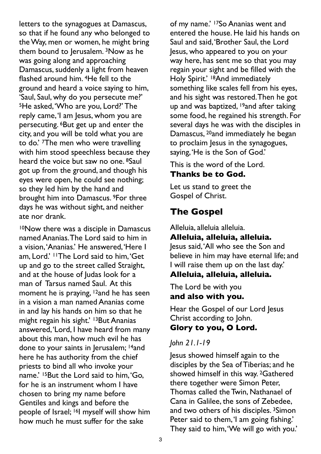letters to the synagogues at Damascus, so that if he found any who belonged to the Way, men or women, he might bring them bound to Jerusalem. <sup>3</sup>Now as he was going along and approaching Damascus, suddenly a light from heaven flashed around him. 4He fell to the ground and heard a voice saying to him, 'Saul, Saul, why do you persecute me?' 5He asked, 'Who are you, Lord?' The reply came, 'I am Jesus, whom you are persecuting. 6But get up and enter the city, and you will be told what you are to do.' 7The men who were travelling with him stood speechless because they heard the voice but saw no one. <sup>8</sup>Saul got up from the ground, and though his eyes were open, he could see nothing; so they led him by the hand and brought him into Damascus. 9For three days he was without sight, and neither ate nor drank.

10Now there was a disciple in Damascus named Ananias. The Lord said to him in a vision, 'Ananias.' He answered, 'Here I am, Lord.' 11The Lord said to him, 'Get up and go to the street called Straight, and at the house of Judas look for a man of Tarsus named Saul. At this moment he is praying, <sup>12</sup>and he has seen in a vision a man named Ananias come in and lay his hands on him so that he might regain his sight.' <sup>13</sup>But Ananias answered, 'Lord, I have heard from many about this man, how much evil he has done to your saints in Jerusalem; <sup>14</sup>and here he has authority from the chief priests to bind all who invoke your name.' <sup>15</sup>But the Lord said to him, 'Go, for he is an instrument whom I have chosen to bring my name before Gentiles and kings and before the people of Israel; 16I myself will show him how much he must suffer for the sake

of my name.' 17So Ananias went and entered the house. He laid his hands on Saul and said, 'Brother Saul, the Lord Jesus, who appeared to you on your way here, has sent me so that you may regain your sight and be filled with the Holy Spirit.' <sup>18</sup>And immediately something like scales fell from his eyes, and his sight was restored. Then he got up and was baptized, <sup>19</sup>and after taking some food, he regained his strength. For several days he was with the disciples in Damascus, <sup>20</sup>and immediately he began to proclaim Jesus in the synagogues, saying, 'He is the Son of God.'

This is the word of the Lord.

#### **Thanks be to God.**

Let us stand to greet the Gospel of Christ.

# **The Gospel**

Alleluia, alleluia alleluia.

**Alleluia, alleluia, alleluia.** 

Jesus said, 'All who see the Son and believe in him may have eternal life; and I will raise them up on the last day.'

#### **Alleluia, alleluia, alleluia.**

The Lord be with you **and also with you.**

Hear the Gospel of our Lord Jesus Christ according to John. **Glory to you, O Lord.**

#### *John 21.1-19*

Jesus showed himself again to the disciples by the Sea of Tiberias; and he showed himself in this way. 2Gathered there together were Simon Peter, Thomas called the Twin, Nathanael of Cana in Galilee, the sons of Zebedee, and two others of his disciples. <sup>3</sup>Simon Peter said to them, I am going fishing.' They said to him, 'We will go with you.'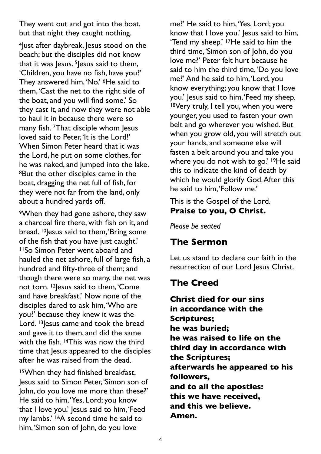They went out and got into the boat, but that night they caught nothing.

<sup>4</sup> Just after daybreak, Jesus stood on the beach; but the disciples did not know that it was Jesus. <sup>5</sup>Jesus said to them, 'Children, you have no fish, have you?' They answered him, 'No.' 6He said to them, 'Cast the net to the right side of the boat, and you will find some.' So they cast it, and now they were not able to haul it in because there were so many fish. <sup>7</sup>That disciple whom lesus loved said to Peter, 'It is the Lord!' When Simon Peter heard that it was the Lord, he put on some clothes, for he was naked, and jumped into the lake. 8But the other disciples came in the boat, dragging the net full of fish, for they were not far from the land, only about a hundred yards off.

9When they had gone ashore, they saw a charcoal fire there, with fish on it, and bread. <sup>10</sup> lesus said to them, 'Bring some of the fish that you have just caught.' 11So Simon Peter went aboard and hauled the net ashore, full of large fish, a hundred and fifty-three of them; and though there were so many, the net was not torn. <sup>12</sup> lesus said to them, 'Come and have breakfast.' Now none of the disciples dared to ask him, 'Who are you?' because they knew it was the Lord. <sup>13</sup> Jesus came and took the bread and gave it to them, and did the same with the fish. <sup>14</sup>This was now the third time that Jesus appeared to the disciples after he was raised from the dead.

15When they had finished breakfast, Jesus said to Simon Peter, 'Simon son of John, do you love me more than these?' He said to him, 'Yes, Lord; you know that I love you.' Jesus said to him, 'Feed my lambs.' 16A second time he said to him, 'Simon son of John, do you love

me?' He said to him, 'Yes, Lord; you know that I love you.' Jesus said to him, 'Tend my sheep.' <sup>17</sup>He said to him the third time, 'Simon son of John, do you love me?' Peter felt hurt because he said to him the third time, 'Do you love me?' And he said to him, 'Lord, you know everything; you know that I love you.' Jesus said to him, 'Feed my sheep. 18Very truly, I tell you, when you were younger, you used to fasten your own belt and go wherever you wished. But when you grow old, you will stretch out your hands, and someone else will fasten a belt around you and take you where you do not wish to go.' <sup>19</sup>He said this to indicate the kind of death by which he would glorify God. After this he said to him, 'Follow me.'

This is the Gospel of the Lord. **Praise to you, O Christ.**

*Please be seated* 

#### **The Sermon**

Let us stand to declare our faith in the resurrection of our Lord Jesus Christ.

### **The Creed**

**Christ died for our sins in accordance with the Scriptures; he was buried; he was raised to life on the third day in accordance with the Scriptures; afterwards he appeared to his followers, and to all the apostles: this we have received, and this we believe. Amen.**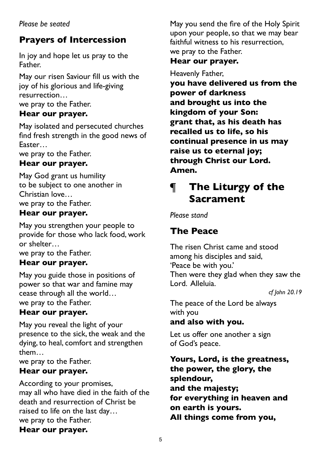# **Prayers of Intercession**

In joy and hope let us pray to the Father.

May our risen Saviour fill us with the joy of his glorious and life-giving resurrection…

we pray to the Father.

#### **Hear our prayer.**

May isolated and persecuted churches find fresh strength in the good news of Easter…

we pray to the Father.

### **Hear our prayer.**

May God grant us humility to be subject to one another in Christian love… we pray to the Father.

### **Hear our prayer.**

May you strengthen your people to provide for those who lack food, work or shelter…

we pray to the Father.

### **Hear our prayer.**

May you guide those in positions of power so that war and famine may cease through all the world… we pray to the Father.

## **Hear our prayer.**

May you reveal the light of your presence to the sick, the weak and the dying, to heal, comfort and strengthen them…

we pray to the Father.

## **Hear our prayer.**

According to your promises, may all who have died in the faith of the death and resurrection of Christ be raised to life on the last day… we pray to the Father.

### **Hear our prayer.**

May you send the fire of the Holy Spirit upon your people, so that we may bear faithful witness to his resurrection, we pray to the Father.

#### **Hear our prayer.**

Heavenly Father,

**you have delivered us from the power of darkness and brought us into the kingdom of your Son: grant that, as his death has recalled us to life, so his continual presence in us may raise us to eternal joy; through Christ our Lord. Amen.**

# **¶ The Liturgy of the Sacrament**

*Please stand* 

# **The Peace**

The risen Christ came and stood among his disciples and said, 'Peace be with you.' Then were they glad when they saw the Lord. Alleluia.

*cf John 20.19*

The peace of the Lord be always with you

### **and also with you.**

Let us offer one another a sign of God's peace.

**Yours, Lord, is the greatness, the power, the glory, the splendour, and the majesty; for everything in heaven and on earth is yours. All things come from you,**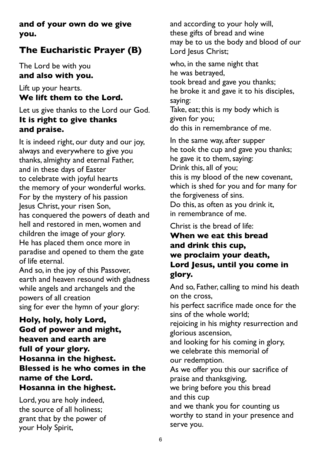#### **and of your own do we give you.**

# **The Eucharistic Prayer (B)**

The Lord be with you **and also with you.**

Lift up your hearts. **We lift them to the Lord.**

#### Let us give thanks to the Lord our God. **It is right to give thanks and praise.**

It is indeed right, our duty and our joy, always and everywhere to give you thanks, almighty and eternal Father, and in these days of Easter to celebrate with joyful hearts the memory of your wonderful works. For by the mystery of his passion Jesus Christ, your risen Son, has conquered the powers of death and hell and restored in men, women and children the image of your glory. He has placed them once more in paradise and opened to them the gate of life eternal.

And so, in the joy of this Passover, earth and heaven resound with gladness while angels and archangels and the powers of all creation sing for ever the hymn of your glory:

**Holy, holy, holy Lord, God of power and might, heaven and earth are full of your glory. Hosanna in the highest. Blessed is he who comes in the name of the Lord. Hosanna in the highest.**

Lord, you are holy indeed, the source of all holiness; grant that by the power of your Holy Spirit,

and according to your holy will, these gifts of bread and wine may be to us the body and blood of our Lord Jesus Christ;

who, in the same night that he was betrayed, took bread and gave you thanks; he broke it and gave it to his disciples, saying: Take, eat; this is my body which is

given for you; do this in remembrance of me.

In the same way, after supper he took the cup and gave you thanks; he gave it to them, saying: Drink this, all of you; this is my blood of the new covenant, which is shed for you and for many for the forgiveness of sins. Do this, as often as you drink it, in remembrance of me.

Christ is the bread of life:

#### **When we eat this bread and drink this cup, we proclaim your death, Lord Jesus, until you come in glory.**

And so, Father, calling to mind his death on the cross,

his perfect sacrifice made once for the sins of the whole world;

rejoicing in his mighty resurrection and glorious ascension,

and looking for his coming in glory, we celebrate this memorial of our redemption.

As we offer you this our sacrifice of praise and thanksgiving,

we bring before you this bread and this cup

and we thank you for counting us worthy to stand in your presence and serve you.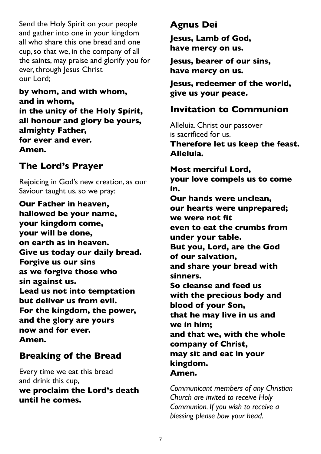Send the Holy Spirit on your people and gather into one in your kingdom all who share this one bread and one cup, so that we, in the company of all the saints, may praise and glorify you for ever, through Jesus Christ our Lord;

**by whom, and with whom, and in whom, in the unity of the Holy Spirit, all honour and glory be yours, almighty Father, for ever and ever. Amen.**

#### **The Lord's Prayer**

Rejoicing in God's new creation, as our Saviour taught us, so we pray:

**Our Father in heaven, hallowed be your name, your kingdom come, your will be done, on earth as in heaven. Give us today our daily bread. Forgive us our sins as we forgive those who sin against us. Lead us not into temptation but deliver us from evil. For the kingdom, the power, and the glory are yours now and for ever. Amen.** 

### **Breaking of the Bread**

Every time we eat this bread and drink this cup, **we proclaim the Lord's death until he comes.**

### **Agnus Dei**

**Jesus, Lamb of God, have mercy on us.**

**Jesus, bearer of our sins, have mercy on us.**

**Jesus, redeemer of the world, give us your peace.**

### **Invitation to Communion**

Alleluia. Christ our passover is sacrificed for us. **Therefore let us keep the feast. Alleluia.**

**Most merciful Lord, your love compels us to come in. Our hands were unclean, our hearts were unprepared; we were not fit even to eat the crumbs from under your table. But you, Lord, are the God of our salvation, and share your bread with sinners. So cleanse and feed us with the precious body and blood of your Son, that he may live in us and we in him; and that we, with the whole company of Christ, may sit and eat in your kingdom. Amen.**

*Communicant members of any Christian Church are invited to receive Holy Communion. If you wish to receive a blessing please bow your head.*